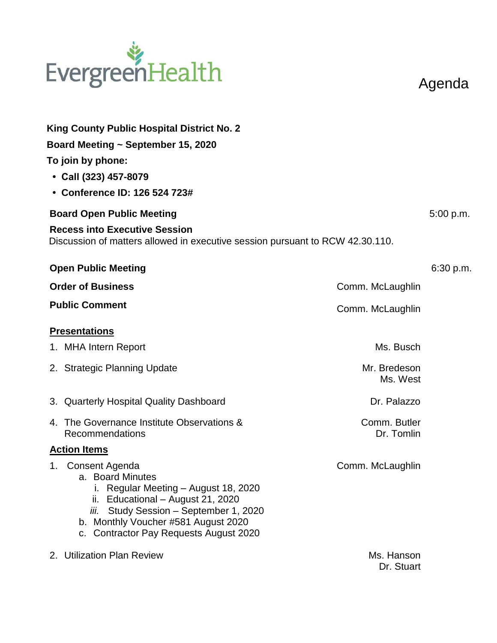## EvergreenHealth

Agenda

| King County Public Hospital District No. 2                                                                                                                                                                                                       |                            |           |  |
|--------------------------------------------------------------------------------------------------------------------------------------------------------------------------------------------------------------------------------------------------|----------------------------|-----------|--|
| Board Meeting ~ September 15, 2020                                                                                                                                                                                                               |                            |           |  |
| To join by phone:                                                                                                                                                                                                                                |                            |           |  |
| $\cdot$ Call (323) 457-8079                                                                                                                                                                                                                      |                            |           |  |
| • Conference ID: 126 524 723#                                                                                                                                                                                                                    |                            |           |  |
| <b>Board Open Public Meeting</b>                                                                                                                                                                                                                 |                            | 5:00 p.m. |  |
| <b>Recess into Executive Session</b><br>Discussion of matters allowed in executive session pursuant to RCW 42.30.110.                                                                                                                            |                            |           |  |
| <b>Open Public Meeting</b>                                                                                                                                                                                                                       |                            | 6:30 p.m. |  |
| <b>Order of Business</b>                                                                                                                                                                                                                         | Comm. McLaughlin           |           |  |
| <b>Public Comment</b>                                                                                                                                                                                                                            | Comm. McLaughlin           |           |  |
| <b>Presentations</b>                                                                                                                                                                                                                             |                            |           |  |
| 1. MHA Intern Report                                                                                                                                                                                                                             | Ms. Busch                  |           |  |
| 2. Strategic Planning Update                                                                                                                                                                                                                     | Mr. Bredeson<br>Ms. West   |           |  |
| 3. Quarterly Hospital Quality Dashboard                                                                                                                                                                                                          | Dr. Palazzo                |           |  |
| 4. The Governance Institute Observations &<br>Recommendations                                                                                                                                                                                    | Comm. Butler<br>Dr. Tomlin |           |  |
| <b>Action Items</b>                                                                                                                                                                                                                              |                            |           |  |
| 1. Consent Agenda<br>a. Board Minutes<br>Regular Meeting – August 18, 2020<br>Educational - August 21, 2020<br>ii.<br>Study Session - September 1, 2020<br>iii.<br>b. Monthly Voucher #581 August 2020<br>c. Contractor Pay Requests August 2020 | Comm. McLaughlin           |           |  |
| 2. Utilization Plan Review                                                                                                                                                                                                                       | Ms. Hanson                 |           |  |

Dr. Stuart